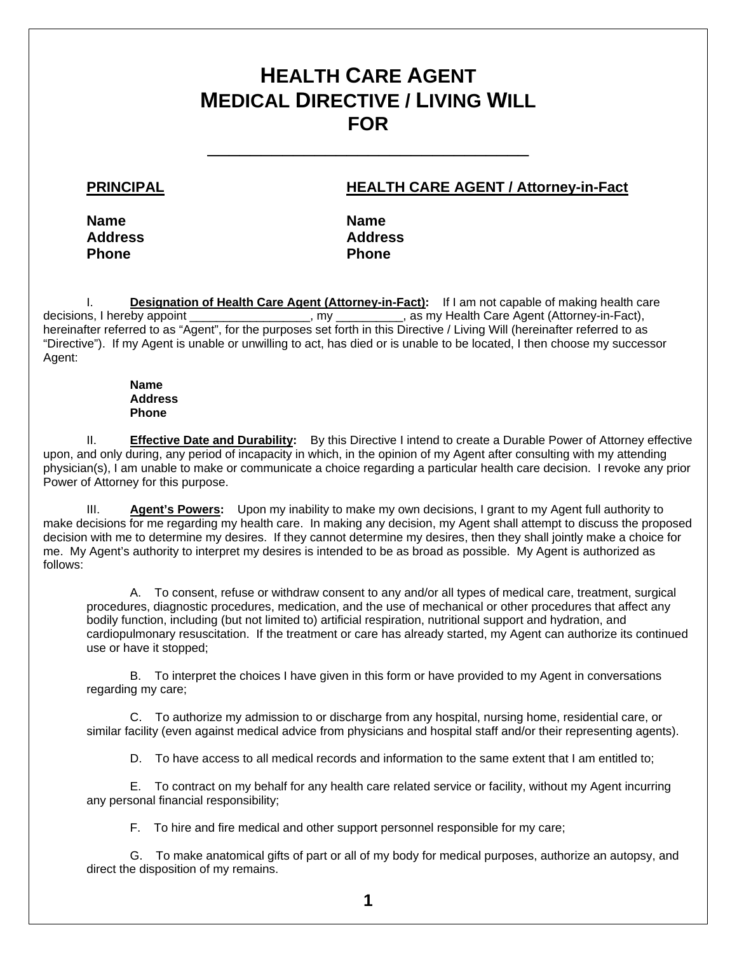# **HEALTH CARE AGENT MEDICAL DIRECTIVE / LIVING WILL FOR**

\_\_\_\_\_\_\_\_\_\_\_\_\_\_\_\_\_\_\_\_\_\_\_\_\_\_\_\_\_\_

## **PRINCIPAL HEALTH CARE AGENT / Attorney-in-Fact**

**Name Name Name Name Address Address**  Phone **Phone Phone** 

I. **Designation of Health Care Agent (Attorney-in-Fact):** If I am not capable of making health care decisions, I hereby appoint \_\_\_\_\_\_\_\_\_\_\_\_\_\_\_\_\_\_, my \_\_\_\_\_\_\_\_\_, as my Health Care Agent (Attorney-in-Fact), hereinafter referred to as "Agent", for the purposes set forth in this Directive / Living Will (hereinafter referred to as "Directive"). If my Agent is unable or unwilling to act, has died or is unable to be located, I then choose my successor Agent:

#### **Name Address Phone**

 II. **Effective Date and Durability:** By this Directive I intend to create a Durable Power of Attorney effective upon, and only during, any period of incapacity in which, in the opinion of my Agent after consulting with my attending physician(s), I am unable to make or communicate a choice regarding a particular health care decision. I revoke any prior Power of Attorney for this purpose.

 III. **Agent's Powers:** Upon my inability to make my own decisions, I grant to my Agent full authority to make decisions for me regarding my health care. In making any decision, my Agent shall attempt to discuss the proposed decision with me to determine my desires. If they cannot determine my desires, then they shall jointly make a choice for me. My Agent's authority to interpret my desires is intended to be as broad as possible. My Agent is authorized as follows:

 A. To consent, refuse or withdraw consent to any and/or all types of medical care, treatment, surgical procedures, diagnostic procedures, medication, and the use of mechanical or other procedures that affect any bodily function, including (but not limited to) artificial respiration, nutritional support and hydration, and cardiopulmonary resuscitation. If the treatment or care has already started, my Agent can authorize its continued use or have it stopped;

 B. To interpret the choices I have given in this form or have provided to my Agent in conversations regarding my care;

 C. To authorize my admission to or discharge from any hospital, nursing home, residential care, or similar facility (even against medical advice from physicians and hospital staff and/or their representing agents).

D. To have access to all medical records and information to the same extent that I am entitled to;

 E. To contract on my behalf for any health care related service or facility, without my Agent incurring any personal financial responsibility;

F. To hire and fire medical and other support personnel responsible for my care;

 G. To make anatomical gifts of part or all of my body for medical purposes, authorize an autopsy, and direct the disposition of my remains.

**1**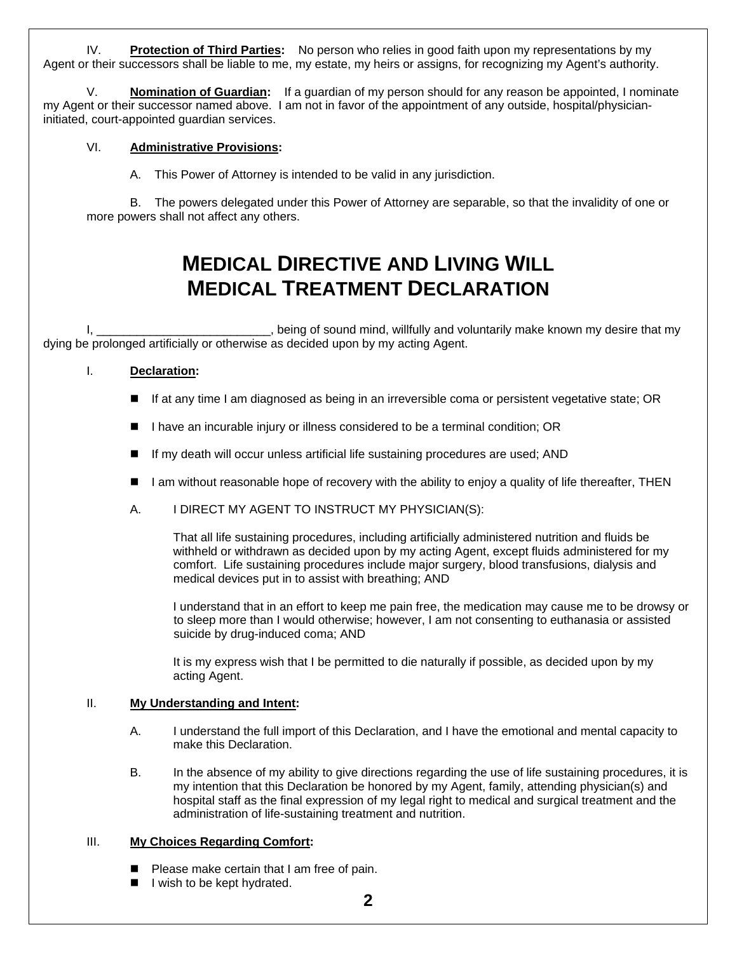IV. **Protection of Third Parties:** No person who relies in good faith upon my representations by my Agent or their successors shall be liable to me, my estate, my heirs or assigns, for recognizing my Agent's authority.

 V. **Nomination of Guardian:** If a guardian of my person should for any reason be appointed, I nominate my Agent or their successor named above. I am not in favor of the appointment of any outside, hospital/physicianinitiated, court-appointed guardian services.

#### VI. **Administrative Provisions:**

A. This Power of Attorney is intended to be valid in any jurisdiction.

 B. The powers delegated under this Power of Attorney are separable, so that the invalidity of one or more powers shall not affect any others.

# **MEDICAL DIRECTIVE AND LIVING WILL MEDICAL TREATMENT DECLARATION**

, being of sound mind, willfully and voluntarily make known my desire that my dying be prolonged artificially or otherwise as decided upon by my acting Agent.

## I. **Declaration:**

- If at any time I am diagnosed as being in an irreversible coma or persistent vegetative state; OR
- I have an incurable injury or illness considered to be a terminal condition; OR
- If my death will occur unless artificial life sustaining procedures are used; AND
- I am without reasonable hope of recovery with the ability to enjoy a quality of life thereafter, THEN
- A. I DIRECT MY AGENT TO INSTRUCT MY PHYSICIAN(S):

 That all life sustaining procedures, including artificially administered nutrition and fluids be withheld or withdrawn as decided upon by my acting Agent, except fluids administered for my comfort. Life sustaining procedures include major surgery, blood transfusions, dialysis and medical devices put in to assist with breathing; AND

 I understand that in an effort to keep me pain free, the medication may cause me to be drowsy or to sleep more than I would otherwise; however, I am not consenting to euthanasia or assisted suicide by drug-induced coma; AND

 It is my express wish that I be permitted to die naturally if possible, as decided upon by my acting Agent.

## II. **My Understanding and Intent:**

- A. I understand the full import of this Declaration, and I have the emotional and mental capacity to make this Declaration.
- B. In the absence of my ability to give directions regarding the use of life sustaining procedures, it is my intention that this Declaration be honored by my Agent, family, attending physician(s) and hospital staff as the final expression of my legal right to medical and surgical treatment and the administration of life-sustaining treatment and nutrition.

## III. **My Choices Regarding Comfort:**

- **Please make certain that I am free of pain.**
- I l wish to be kept hydrated.